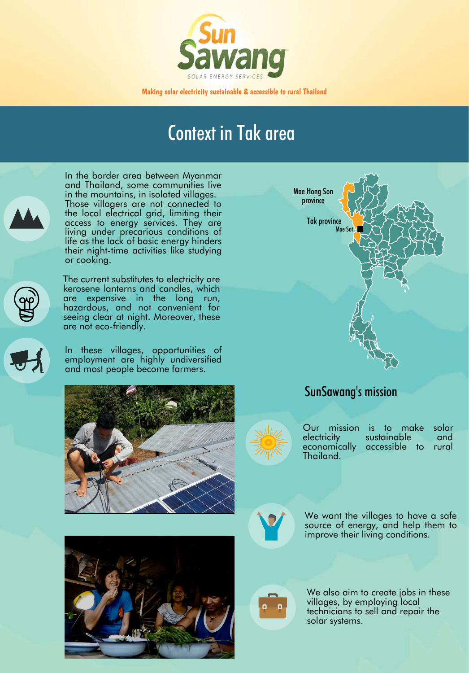

Making solar electricity sustainable & accessible to rural Thailand

In the border area between Myanmar and Thailand, some communities live in the mountains, in isolated villages. Those villagers are not connected to the local electrical grid, limiting their access to energy services. They are living under precarious conditions of life as the lack of basic energy hinders their night-time activities like studying or cooking.

> We want the villages to have a safe source of energy, and help them to improve their living conditions.



We also aim to create jobs in these villages, by employing local technicians to sell and repair the solar systems.

Our mission is to make solar<br>electricity sustainable and sustainable and economically accessible to rural Thailand.



The current substitutes to electricity are kerosene lanterns and candles, which are expensive in the long run, hazardous, and not convenient for seeing clear at night. Moreover, these are not eco-friendly.







In these villages, opportunities of employment are highly undiversified and most people become farmers.





## SunSawang's mission

## Context in Tak area

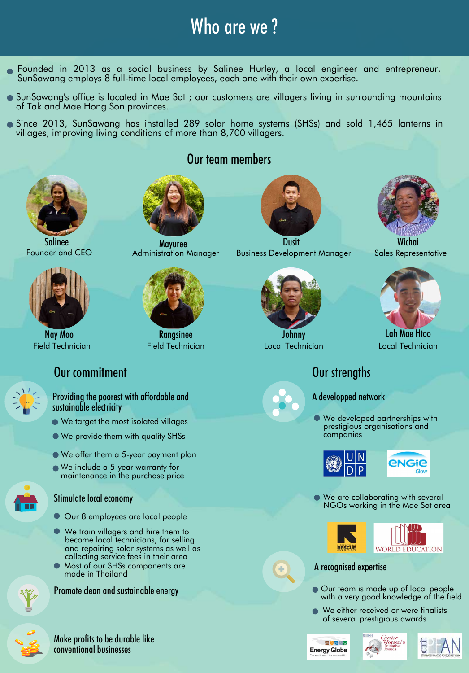# Who are we?

- Founded in 2013 as a social business by Salinee Hurley, a local engineer and entrepreneur, SunSawang employs 8 full-time local employees, each one with their own expertise.
- SunSawang's office is located in Mae Sot ; our customers are villagers living in surrounding mountains of Tak and Mae Hong Son provinces.
- Since 2013, SunSawang has installed 289 solar home systems (SHSs) and sold 1,465 lanterns in villages, improving living conditions of more than 8,700 villagers.

- Our team is made up of local people with a very good knowledge of the field
- **We either received or were finalists** of several prestigious awards







● We are collaborating with several NGOs working in the Mae Sot area







#### Our commitment

### Our team members







#### A recognised expertise

#### A developped network

We developed partnerships with prestigious organisations and companies





#### **AUSTRALIAN BOOK** Wichai Sales Representative



Providing the poorest with affordable and sustainable electricity

- We target the most isolated villages
- We provide them with quality SHSs
- We offer them a 5-year payment plan We include a 5-year warranty for





#### Stimulate local economy

- Our 8 employees are local people
- We train villagers and hire them to become local technicians, for selling and repairing solar systems as well as collecting service fees in their area
- Most of our SHSs components are made in Thailand





#### Make profits to be durable like conventional businesses



Field Technician Nay Moo





Field Technician





Local Technician Lah Mae Htoo

#### Our strengths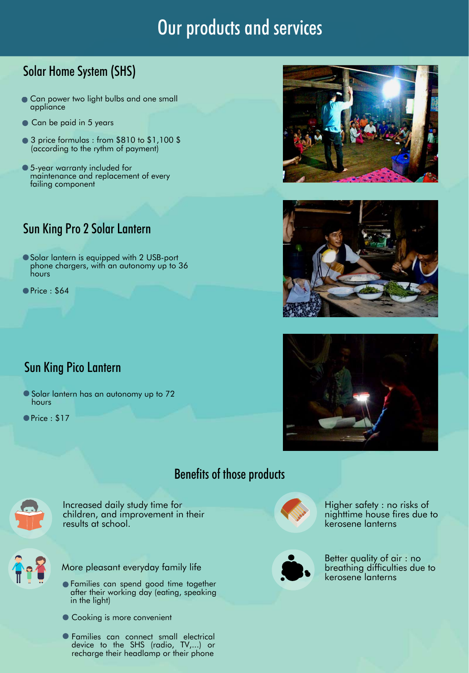# Our products and services

## Solar Home System (SHS)

- **Can power two light bulbs and one small** appliance
- Can be paid in 5 years
- 3 price formulas : from \$810 to \$1,100 \$ (according to the rythm of payment)
- 5-year warranty included for maintenance and replacement of every failing component

● Solar lantern is equipped with 2 USB-port phone chargers, with an autonomy up to 36 hours

**O** Price : \$64

- Solar lantern has an autonomy up to 72 hours
- Price : \$17



#### Sun King Pro 2 Solar Lantern





#### Sun King Pico Lantern

#### Benefits of those products



Increased daily study time for children, and improvement in their results at school.



Better quality of air : no breathing difficulties due to kerosene lanterns

- Families can spend good time together after their working day (eating, speaking in the light)
- Cooking is more convenient
- Families can connect small electrical device to the SHS (radio, TV,...) or recharge their headlamp or their phone



Higher safety : no risks of nighttime house fires due to kerosene lanterns



More pleasant everyday family life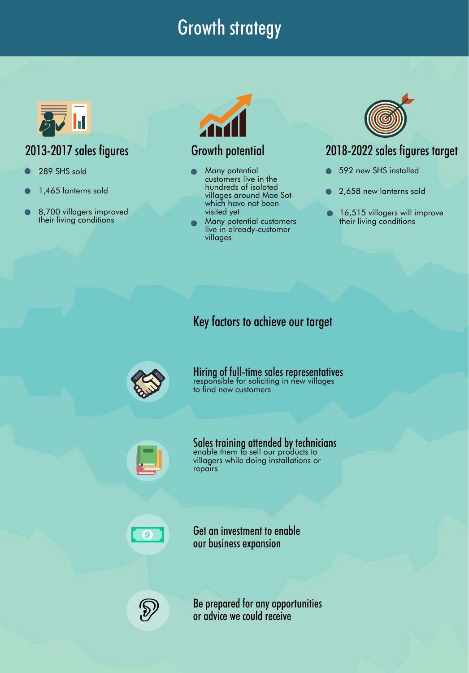# Growth strategy



## 2013-2017 sales figures Growth potential

- 289 SHS sold and a set of Many potential customers live in the hundreds of isolated villages around Mae Sot which have not been visited yet
	- Many potential customers live in already-customer



villages

## 2018-2022 sales figures target

#### Key factors to achieve our target



repairs



responsible for soliciting in new villages to find new customers Hiring of full-time sales representatives



- 
- 1,465 lanterns sold
- 8,700 villagers improved their living conditions



enable them to sell our products to villagers while doing installations or Sales training attended by technicians

- 592 new SHS installed
- 2,658 new lanterns sold
- 16,515 villagers will improve their living conditions

Be prepared for any opportunities or advice we could receive

Get an investment to enable our business expansion

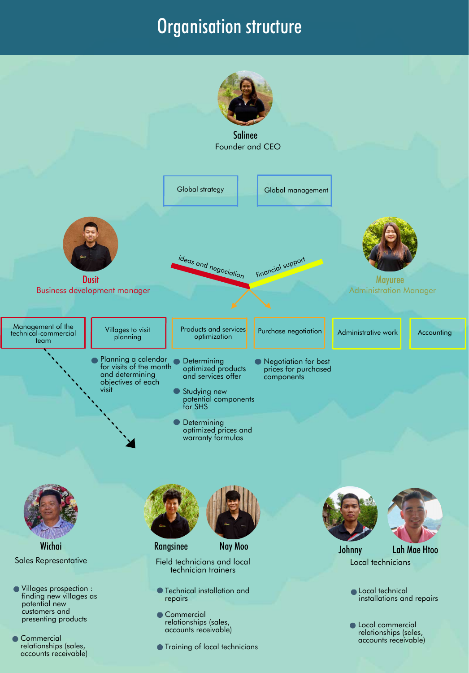## Organisation structure

**• Technical installation and** repairs

Commercial relationships (sales, accounts receivable)

**• Training of local technicians** 

**OLocal technical** installations and repairs

**C** Local commercial relationships (sales, accounts receivable)

Commercial relationships (sales, accounts receivable)

Villages prospection : finding new villages as potential new customers and presenting products

Sales Representative **Wichai** 





Field technicians and local technician trainers Rangsinee Nay Moo Johnny Lah Mae Htoo

Local technicians